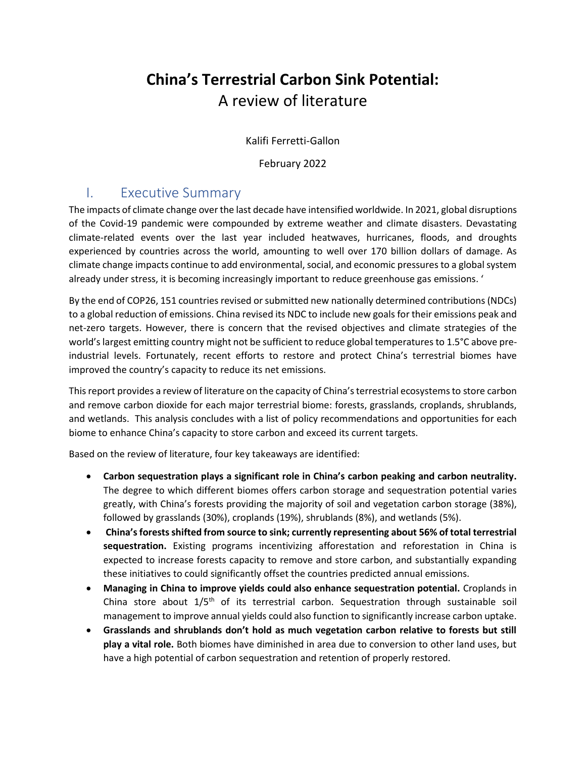# **China's Terrestrial Carbon Sink Potential:** A review of literature

Kalifi Ferretti-Gallon

February 2022

# <span id="page-0-0"></span>I. Executive Summary

The impacts of climate change over the last decade have intensified worldwide. In 2021, global disruptions of the Covid-19 pandemic were compounded by extreme weather and climate disasters. Devastating climate-related events over the last year included heatwaves, hurricanes, floods, and droughts experienced by countries across the world, amounting to well over 170 billion dollars of damage. As climate change impacts continue to add environmental, social, and economic pressures to a global system already under stress, it is becoming increasingly important to reduce greenhouse gas emissions. '

By the end of COP26, 151 countries revised or submitted new nationally determined contributions (NDCs) to a global reduction of emissions. China revised its NDC to include new goals for their emissions peak and net-zero targets. However, there is concern that the revised objectives and climate strategies of the world's largest emitting country might not be sufficient to reduce global temperatures to 1.5°C above preindustrial levels. Fortunately, recent efforts to restore and protect China's terrestrial biomes have improved the country's capacity to reduce its net emissions.

This report provides a review of literature on the capacity of China's terrestrial ecosystems to store carbon and remove carbon dioxide for each major terrestrial biome: forests, grasslands, croplands, shrublands, and wetlands. This analysis concludes with a list of policy recommendations and opportunities for each biome to enhance China's capacity to store carbon and exceed its current targets.

Based on the review of literature, four key takeaways are identified:

- **Carbon sequestration plays a significant role in China's carbon peaking and carbon neutrality.**  The degree to which different biomes offers carbon storage and sequestration potential varies greatly, with China's forests providing the majority of soil and vegetation carbon storage (38%), followed by grasslands (30%), croplands (19%), shrublands (8%), and wetlands (5%).
- **China's forests shifted from source to sink; currently representing about 56% of total terrestrial sequestration.** Existing programs incentivizing afforestation and reforestation in China is expected to increase forests capacity to remove and store carbon, and substantially expanding these initiatives to could significantly offset the countries predicted annual emissions.
- **Managing in China to improve yields could also enhance sequestration potential.** Croplands in China store about  $1/5$ <sup>th</sup> of its terrestrial carbon. Sequestration through sustainable soil management to improve annual yields could also function to significantly increase carbon uptake.
- **Grasslands and shrublands don't hold as much vegetation carbon relative to forests but still play a vital role.** Both biomes have diminished in area due to conversion to other land uses, but have a high potential of carbon sequestration and retention of properly restored.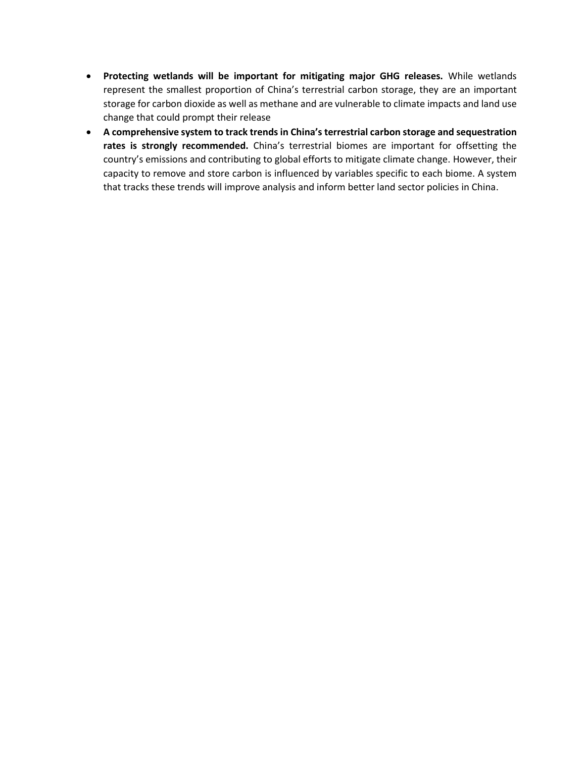- **Protecting wetlands will be important for mitigating major GHG releases.** While wetlands represent the smallest proportion of China's terrestrial carbon storage, they are an important storage for carbon dioxide as well as methane and are vulnerable to climate impacts and land use change that could prompt their release
- **A comprehensive system to track trends in China's terrestrial carbon storage and sequestration rates is strongly recommended.** China's terrestrial biomes are important for offsetting the country's emissions and contributing to global efforts to mitigate climate change. However, their capacity to remove and store carbon is influenced by variables specific to each biome. A system that tracks these trends will improve analysis and inform better land sector policies in China.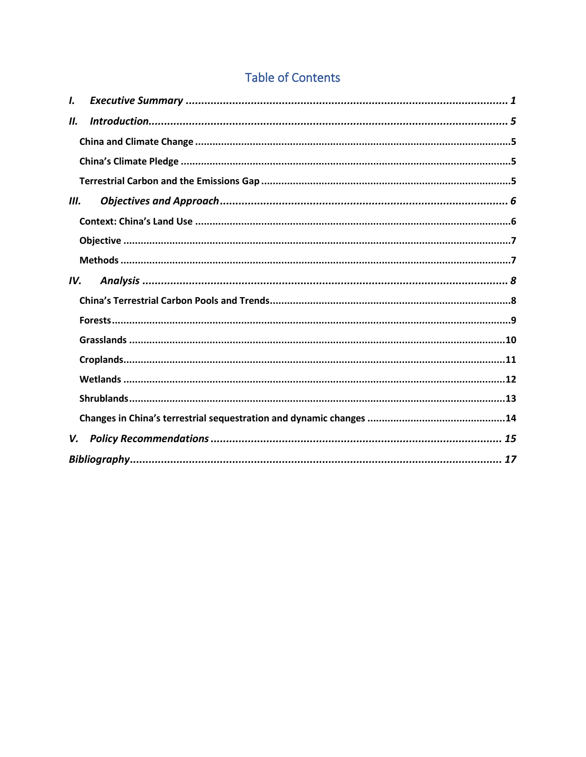# **Table of Contents**

| L   |  |  |
|-----|--|--|
| Ш.  |  |  |
|     |  |  |
|     |  |  |
|     |  |  |
| Ш.  |  |  |
|     |  |  |
|     |  |  |
|     |  |  |
| IV. |  |  |
|     |  |  |
|     |  |  |
|     |  |  |
|     |  |  |
|     |  |  |
|     |  |  |
|     |  |  |
| V.  |  |  |
|     |  |  |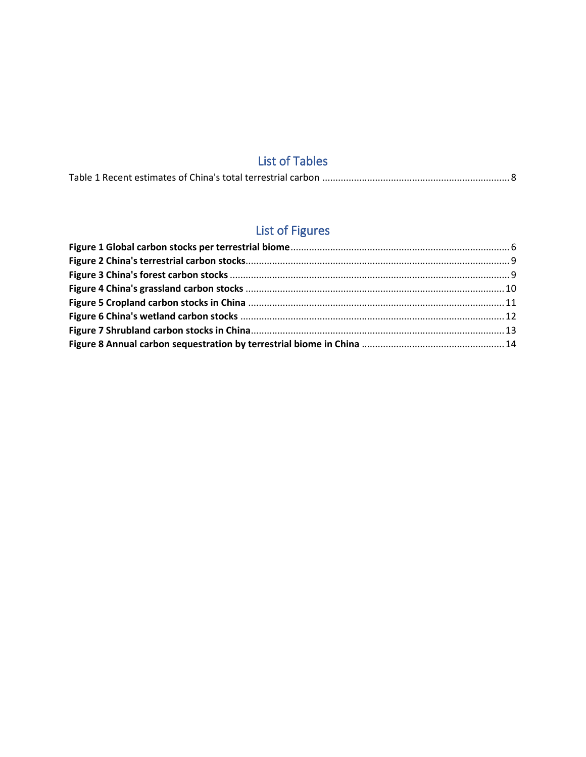# List of Tables

# List of Figures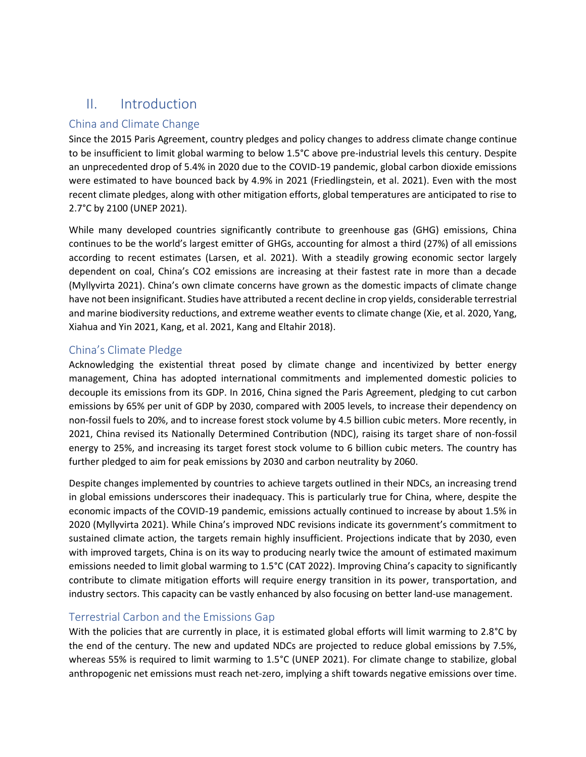# <span id="page-4-0"></span>II. Introduction

## <span id="page-4-1"></span>China and Climate Change

Since the 2015 Paris Agreement, country pledges and policy changes to address climate change continue to be insufficient to limit global warming to below 1.5°C above pre-industrial levels this century. Despite an unprecedented drop of 5.4% in 2020 due to the COVID-19 pandemic, global carbon dioxide emissions were estimated to have bounced back by 4.9% in 2021 (Friedlingstein, et al. 2021). Even with the most recent climate pledges, along with other mitigation efforts, global temperatures are anticipated to rise to 2.7°C by 2100 (UNEP 2021).

While many developed countries significantly contribute to greenhouse gas (GHG) emissions, China continues to be the world's largest emitter of GHGs, accounting for almost a third (27%) of all emissions according to recent estimates (Larsen, et al. 2021). With a steadily growing economic sector largely dependent on coal, China's CO2 emissions are increasing at their fastest rate in more than a decade (Myllyvirta 2021). China's own climate concerns have grown as the domestic impacts of climate change have not been insignificant. Studies have attributed a recent decline in crop yields, considerable terrestrial and marine biodiversity reductions, and extreme weather events to climate change (Xie, et al. 2020, Yang, Xiahua and Yin 2021, Kang, et al. 2021, Kang and Eltahir 2018).

### <span id="page-4-2"></span>China's Climate Pledge

Acknowledging the existential threat posed by climate change and incentivized by better energy management, China has adopted international commitments and implemented domestic policies to decouple its emissions from its GDP. In 2016, China signed the Paris Agreement, pledging to cut carbon emissions by 65% per unit of GDP by 2030, compared with 2005 levels, to increase their dependency on non-fossil fuels to 20%, and to increase forest stock volume by 4.5 billion cubic meters. More recently, in 2021, China revised its Nationally Determined Contribution (NDC), raising its target share of non-fossil energy to 25%, and increasing its target forest stock volume to 6 billion cubic meters. The country has further pledged to aim for peak emissions by 2030 and carbon neutrality by 2060.

Despite changes implemented by countries to achieve targets outlined in their NDCs, an increasing trend in global emissions underscores their inadequacy. This is particularly true for China, where, despite the economic impacts of the COVID-19 pandemic, emissions actually continued to increase by about 1.5% in 2020 (Myllyvirta 2021). While China's improved NDC revisions indicate its government's commitment to sustained climate action, the targets remain highly insufficient. Projections indicate that by 2030, even with improved targets, China is on its way to producing nearly twice the amount of estimated maximum emissions needed to limit global warming to 1.5°C (CAT 2022). Improving China's capacity to significantly contribute to climate mitigation efforts will require energy transition in its power, transportation, and industry sectors. This capacity can be vastly enhanced by also focusing on better land-use management.

# <span id="page-4-3"></span>Terrestrial Carbon and the Emissions Gap

With the policies that are currently in place, it is estimated global efforts will limit warming to 2.8°C by the end of the century. The new and updated NDCs are projected to reduce global emissions by 7.5%, whereas 55% is required to limit warming to 1.5°C (UNEP 2021). For climate change to stabilize, global anthropogenic net emissions must reach net-zero, implying a shift towards negative emissions over time.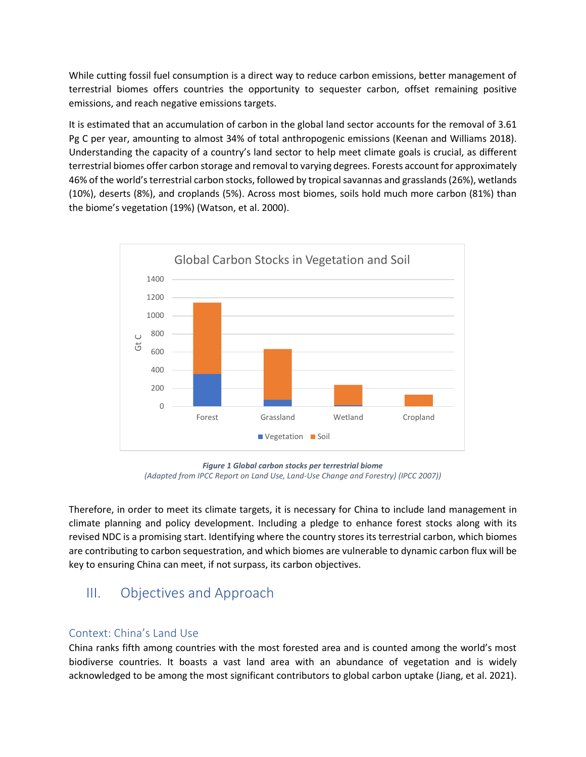While cutting fossil fuel consumption is a direct way to reduce carbon emissions, better management of terrestrial biomes offers countries the opportunity to sequester carbon, offset remaining positive emissions, and reach negative emissions targets.

It is estimated that an accumulation of carbon in the global land sector accounts for the removal of 3.61 Pg C per year, amounting to almost 34% of total anthropogenic emissions (Keenan and Williams 2018). Understanding the capacity of a country's land sector to help meet climate goals is crucial, as different terrestrial biomes offer carbon storage and removal to varying degrees. Forests account for approximately 46% of the world's terrestrial carbon stocks, followed by tropical savannas and grasslands (26%), wetlands (10%), deserts (8%), and croplands (5%). Across most biomes, soils hold much more carbon (81%) than the biome's vegetation (19%) (Watson, et al. 2000).



*Figure 1 Global carbon stocks per terrestrial biome (Adapted from IPCC Report on Land Use, Land-Use Change and Forestry) (IPCC 2007))*

<span id="page-5-2"></span>Therefore, in order to meet its climate targets, it is necessary for China to include land management in climate planning and policy development. Including a pledge to enhance forest stocks along with its revised NDC is a promising start. Identifying where the country stores its terrestrial carbon, which biomes are contributing to carbon sequestration, and which biomes are vulnerable to dynamic carbon flux will be key to ensuring China can meet, if not surpass, its carbon objectives.

# <span id="page-5-0"></span>III. Objectives and Approach

### <span id="page-5-1"></span>Context: China's Land Use

China ranks fifth among countries with the most forested area and is counted among the world's most biodiverse countries. It boasts a vast land area with an abundance of vegetation and is widely acknowledged to be among the most significant contributors to global carbon uptake (Jiang, et al. 2021).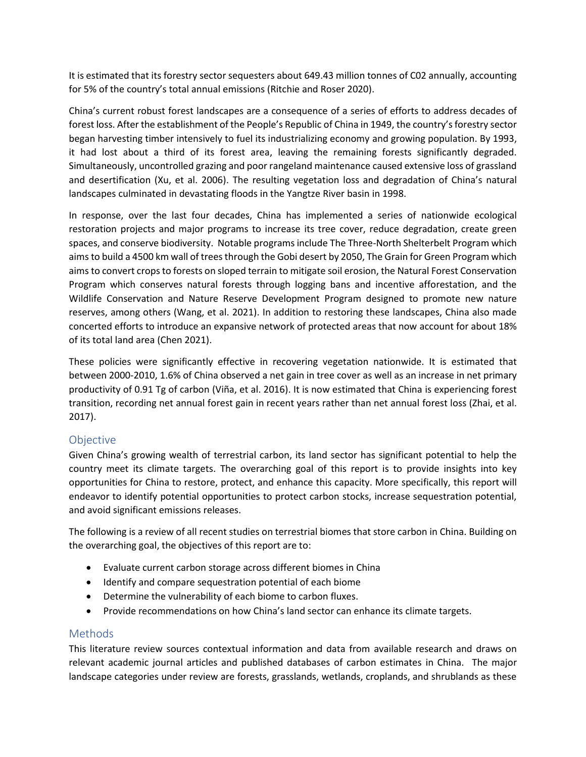It is estimated that its forestry sector sequesters about 649.43 million tonnes of C02 annually, accounting for 5% of the country's total annual emissions (Ritchie and Roser 2020).

China's current robust forest landscapes are a consequence of a series of efforts to address decades of forest loss. After the establishment of the People's Republic of China in 1949, the country's forestry sector began harvesting timber intensively to fuel its industrializing economy and growing population. By 1993, it had lost about a third of its forest area, leaving the remaining forests significantly degraded. Simultaneously, uncontrolled grazing and poor rangeland maintenance caused extensive loss of grassland and desertification (Xu, et al. 2006). The resulting vegetation loss and degradation of China's natural landscapes culminated in devastating floods in the Yangtze River basin in 1998.

In response, over the last four decades, China has implemented a series of nationwide ecological restoration projects and major programs to increase its tree cover, reduce degradation, create green spaces, and conserve biodiversity. Notable programs include The Three-North Shelterbelt Program which aims to build a 4500 km wall of trees through the Gobi desert by 2050, The Grain for Green Program which aimsto convert crops to forests on sloped terrain to mitigate soil erosion, the Natural Forest Conservation Program which conserves natural forests through logging bans and incentive afforestation, and the Wildlife Conservation and Nature Reserve Development Program designed to promote new nature reserves, among others (Wang, et al. 2021). In addition to restoring these landscapes, China also made concerted efforts to introduce an expansive network of protected areas that now account for about 18% of its total land area (Chen 2021).

These policies were significantly effective in recovering vegetation nationwide. It is estimated that between 2000-2010, 1.6% of China observed a net gain in tree cover as well as an increase in net primary productivity of 0.91 Tg of carbon (Viña, et al. 2016). It is now estimated that China is experiencing forest transition, recording net annual forest gain in recent years rather than net annual forest loss (Zhai, et al. 2017).

### <span id="page-6-0"></span>**Objective**

Given China's growing wealth of terrestrial carbon, its land sector has significant potential to help the country meet its climate targets. The overarching goal of this report is to provide insights into key opportunities for China to restore, protect, and enhance this capacity. More specifically, this report will endeavor to identify potential opportunities to protect carbon stocks, increase sequestration potential, and avoid significant emissions releases.

The following is a review of all recent studies on terrestrial biomes that store carbon in China. Building on the overarching goal, the objectives of this report are to:

- Evaluate current carbon storage across different biomes in China
- Identify and compare sequestration potential of each biome
- Determine the vulnerability of each biome to carbon fluxes.
- Provide recommendations on how China's land sector can enhance its climate targets.

#### <span id="page-6-1"></span>**Methods**

This literature review sources contextual information and data from available research and draws on relevant academic journal articles and published databases of carbon estimates in China. The major landscape categories under review are forests, grasslands, wetlands, croplands, and shrublands as these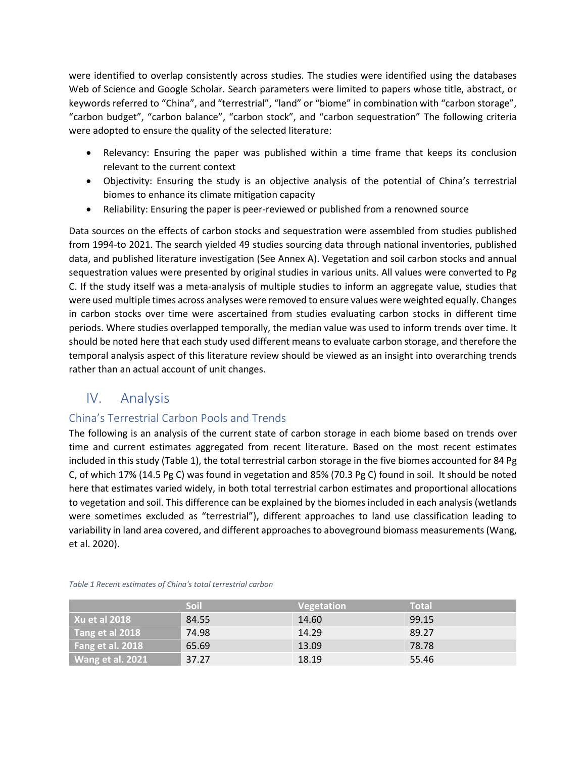were identified to overlap consistently across studies. The studies were identified using the databases Web of Science and Google Scholar. Search parameters were limited to papers whose title, abstract, or keywords referred to "China", and "terrestrial", "land" or "biome" in combination with "carbon storage", "carbon budget", "carbon balance", "carbon stock", and "carbon sequestration" The following criteria were adopted to ensure the quality of the selected literature:

- Relevancy: Ensuring the paper was published within a time frame that keeps its conclusion relevant to the current context
- Objectivity: Ensuring the study is an objective analysis of the potential of China's terrestrial biomes to enhance its climate mitigation capacity
- Reliability: Ensuring the paper is peer-reviewed or published from a renowned source

Data sources on the effects of carbon stocks and sequestration were assembled from studies published from 1994-to 2021. The search yielded 49 studies sourcing data through national inventories, published data, and published literature investigation (See Annex A). Vegetation and soil carbon stocks and annual sequestration values were presented by original studies in various units. All values were converted to Pg C. If the study itself was a meta-analysis of multiple studies to inform an aggregate value, studies that were used multiple times across analyses were removed to ensure values were weighted equally. Changes in carbon stocks over time were ascertained from studies evaluating carbon stocks in different time periods. Where studies overlapped temporally, the median value was used to inform trends over time. It should be noted here that each study used different means to evaluate carbon storage, and therefore the temporal analysis aspect of this literature review should be viewed as an insight into overarching trends rather than an actual account of unit changes.

# <span id="page-7-0"></span>IV. Analysis

# <span id="page-7-1"></span>China's Terrestrial Carbon Pools and Trends

The following is an analysis of the current state of carbon storage in each biome based on trends over time and current estimates aggregated from recent literature. Based on the most recent estimates included in this study (Table 1), the total terrestrial carbon storage in the five biomes accounted for 84 Pg C, of which 17% (14.5 Pg C) was found in vegetation and 85% (70.3 Pg C) found in soil. It should be noted here that estimates varied widely, in both total terrestrial carbon estimates and proportional allocations to vegetation and soil. This difference can be explained by the biomes included in each analysis (wetlands were sometimes excluded as "terrestrial"), different approaches to land use classification leading to variability in land area covered, and different approaches to aboveground biomass measurements (Wang, et al. 2020).

|                      | Soil  | <b>Vegetation</b> | <b>Total</b> |
|----------------------|-------|-------------------|--------------|
| <b>Xu et al 2018</b> | 84.55 | 14.60             | 99.15        |
| Tang et al 2018      | 74.98 | 14.29             | 89.27        |
| Fang et al. $2018$   | 65.69 | 13.09             | 78.78        |
| Wang et al. 2021     | 37.27 | 18.19             | 55.46        |

<span id="page-7-2"></span>*Table 1 Recent estimates of China's total terrestrial carbon*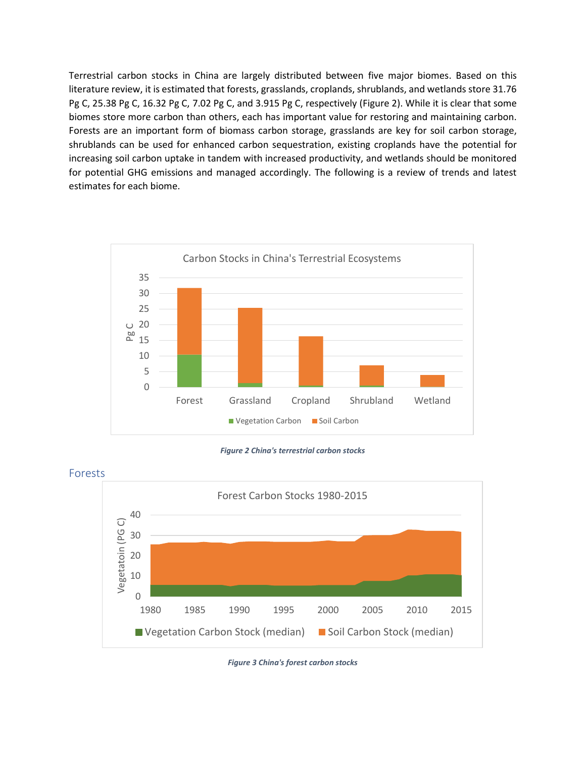Terrestrial carbon stocks in China are largely distributed between five major biomes. Based on this literature review, it is estimated that forests, grasslands, croplands, shrublands, and wetlands store 31.76 Pg C, 25.38 Pg C, 16.32 Pg C, 7.02 Pg C, and 3.915 Pg C, respectively (Figure 2). While it is clear that some biomes store more carbon than others, each has important value for restoring and maintaining carbon. Forests are an important form of biomass carbon storage, grasslands are key for soil carbon storage, shrublands can be used for enhanced carbon sequestration, existing croplands have the potential for increasing soil carbon uptake in tandem with increased productivity, and wetlands should be monitored for potential GHG emissions and managed accordingly. The following is a review of trends and latest estimates for each biome.



*Figure 2 China's terrestrial carbon stocks*



<span id="page-8-1"></span><span id="page-8-0"></span>Forests

<span id="page-8-2"></span>*Figure 3 China's forest carbon stocks*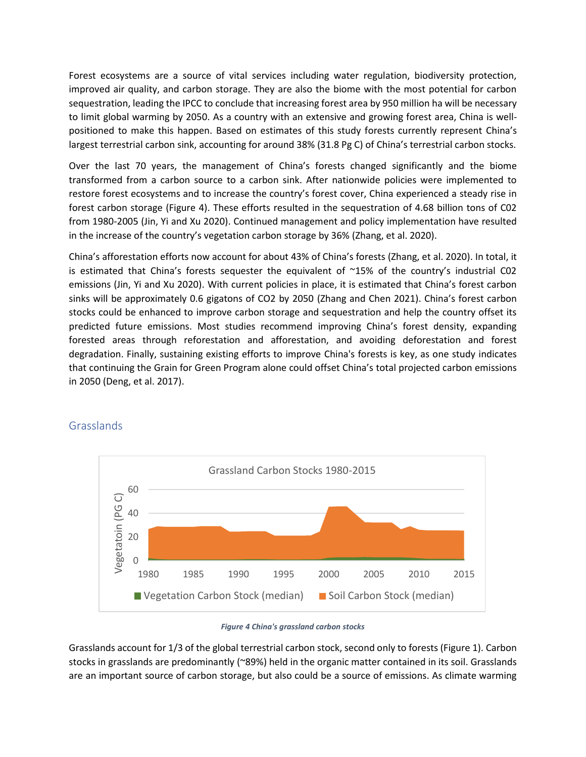Forest ecosystems are a source of vital services including water regulation, biodiversity protection, improved air quality, and carbon storage. They are also the biome with the most potential for carbon sequestration, leading the IPCC to conclude that increasing forest area by 950 million ha will be necessary to limit global warming by 2050. As a country with an extensive and growing forest area, China is wellpositioned to make this happen. Based on estimates of this study forests currently represent China's largest terrestrial carbon sink, accounting for around 38% (31.8 Pg C) of China's terrestrial carbon stocks.

Over the last 70 years, the management of China's forests changed significantly and the biome transformed from a carbon source to a carbon sink. After nationwide policies were implemented to restore forest ecosystems and to increase the country's forest cover, China experienced a steady rise in forest carbon storage (Figure 4). These efforts resulted in the sequestration of 4.68 billion tons of C02 from 1980-2005 (Jin, Yi and Xu 2020). Continued management and policy implementation have resulted in the increase of the country's vegetation carbon storage by 36% (Zhang, et al. 2020).

China's afforestation efforts now account for about 43% of China's forests (Zhang, et al. 2020). In total, it is estimated that China's forests sequester the equivalent of  $~15\%$  of the country's industrial C02 emissions (Jin, Yi and Xu 2020). With current policies in place, it is estimated that China's forest carbon sinks will be approximately 0.6 gigatons of CO2 by 2050 (Zhang and Chen 2021). China's forest carbon stocks could be enhanced to improve carbon storage and sequestration and help the country offset its predicted future emissions. Most studies recommend improving China's forest density, expanding forested areas through reforestation and afforestation, and avoiding deforestation and forest degradation. Finally, sustaining existing efforts to improve China's forests is key, as one study indicates that continuing the Grain for Green Program alone could offset China's total projected carbon emissions in 2050 (Deng, et al. 2017).



### <span id="page-9-0"></span>**Grasslands**

<span id="page-9-1"></span>Grasslands account for 1/3 of the global terrestrial carbon stock, second only to forests (Figure 1). Carbon stocks in grasslands are predominantly (~89%) held in the organic matter contained in its soil. Grasslands are an important source of carbon storage, but also could be a source of emissions. As climate warming

*Figure 4 China's grassland carbon stocks*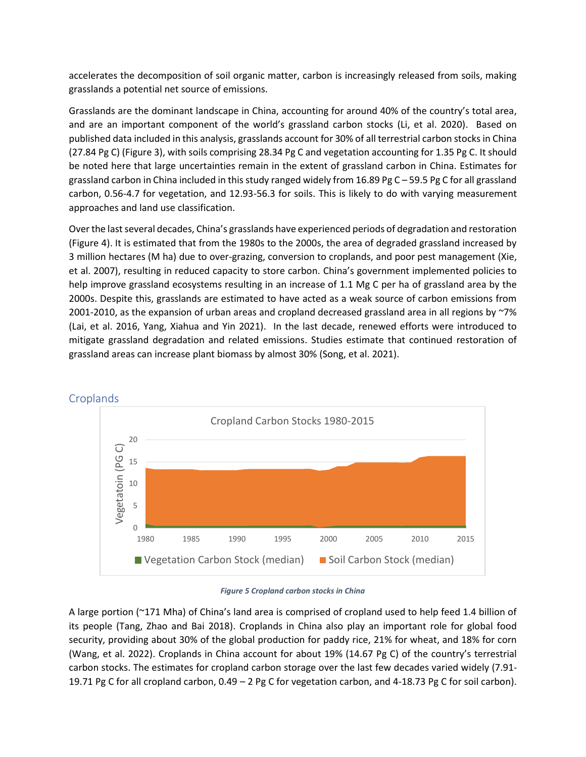accelerates the decomposition of soil organic matter, carbon is increasingly released from soils, making grasslands a potential net source of emissions.

Grasslands are the dominant landscape in China, accounting for around 40% of the country's total area, and are an important component of the world's grassland carbon stocks (Li, et al. 2020). Based on published data included in this analysis, grasslands account for 30% of all terrestrial carbon stocks in China (27.84 Pg C) (Figure 3), with soils comprising 28.34 Pg C and vegetation accounting for 1.35 Pg C. It should be noted here that large uncertainties remain in the extent of grassland carbon in China. Estimates for grassland carbon in China included in this study ranged widely from 16.89 Pg C – 59.5 Pg C for all grassland carbon, 0.56-4.7 for vegetation, and 12.93-56.3 for soils. This is likely to do with varying measurement approaches and land use classification.

Over the last several decades, China's grasslands have experienced periods of degradation and restoration (Figure 4). It is estimated that from the 1980s to the 2000s, the area of degraded grassland increased by 3 million hectares (M ha) due to over-grazing, conversion to croplands, and poor pest management (Xie, et al. 2007), resulting in reduced capacity to store carbon. China's government implemented policies to help improve grassland ecosystems resulting in an increase of 1.1 Mg C per ha of grassland area by the 2000s. Despite this, grasslands are estimated to have acted as a weak source of carbon emissions from 2001-2010, as the expansion of urban areas and cropland decreased grassland area in all regions by ~7% (Lai, et al. 2016, Yang, Xiahua and Yin 2021). In the last decade, renewed efforts were introduced to mitigate grassland degradation and related emissions. Studies estimate that continued restoration of grassland areas can increase plant biomass by almost 30% (Song, et al. 2021).



<span id="page-10-0"></span>

*Figure 5 Cropland carbon stocks in China*

<span id="page-10-1"></span>A large portion (~171 Mha) of China's land area is comprised of cropland used to help feed 1.4 billion of its people (Tang, Zhao and Bai 2018). Croplands in China also play an important role for global food security, providing about 30% of the global production for paddy rice, 21% for wheat, and 18% for corn (Wang, et al. 2022). Croplands in China account for about 19% (14.67 Pg C) of the country's terrestrial carbon stocks. The estimates for cropland carbon storage over the last few decades varied widely (7.91- 19.71 Pg C for all cropland carbon, 0.49 – 2 Pg C for vegetation carbon, and 4-18.73 Pg C for soil carbon).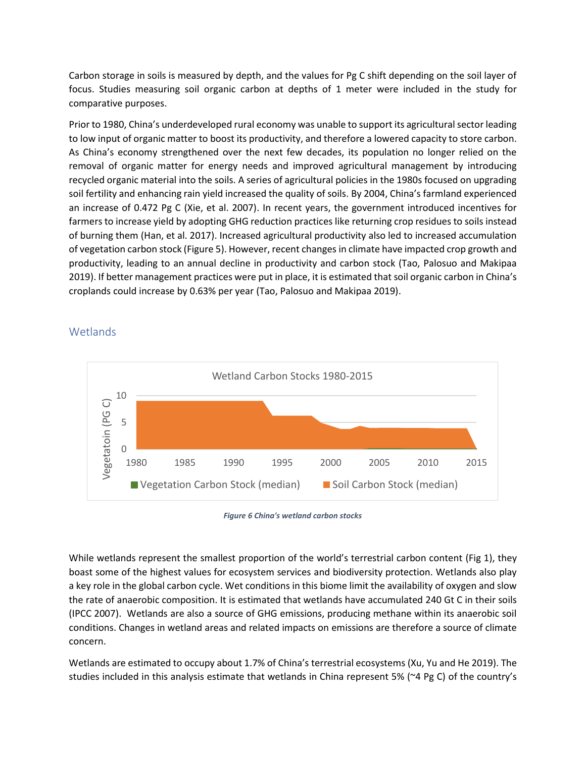Carbon storage in soils is measured by depth, and the values for Pg C shift depending on the soil layer of focus. Studies measuring soil organic carbon at depths of 1 meter were included in the study for comparative purposes.

Prior to 1980, China's underdeveloped rural economy was unable to support its agricultural sector leading to low input of organic matter to boost its productivity, and therefore a lowered capacity to store carbon. As China's economy strengthened over the next few decades, its population no longer relied on the removal of organic matter for energy needs and improved agricultural management by introducing recycled organic material into the soils. A series of agricultural policies in the 1980s focused on upgrading soil fertility and enhancing rain yield increased the quality of soils. By 2004, China's farmland experienced an increase of 0.472 Pg C (Xie, et al. 2007). In recent years, the government introduced incentives for farmers to increase yield by adopting GHG reduction practices like returning crop residues to soils instead of burning them (Han, et al. 2017). Increased agricultural productivity also led to increased accumulation of vegetation carbon stock (Figure 5). However, recent changes in climate have impacted crop growth and productivity, leading to an annual decline in productivity and carbon stock (Tao, Palosuo and Makipaa 2019). If better management practices were put in place, it is estimated that soil organic carbon in China's croplands could increase by 0.63% per year (Tao, Palosuo and Makipaa 2019).



### <span id="page-11-0"></span>Wetlands



<span id="page-11-1"></span>While wetlands represent the smallest proportion of the world's terrestrial carbon content (Fig 1), they boast some of the highest values for ecosystem services and biodiversity protection. Wetlands also play a key role in the global carbon cycle. Wet conditions in this biome limit the availability of oxygen and slow the rate of anaerobic composition. It is estimated that wetlands have accumulated 240 Gt C in their soils (IPCC 2007). Wetlands are also a source of GHG emissions, producing methane within its anaerobic soil conditions. Changes in wetland areas and related impacts on emissions are therefore a source of climate concern.

Wetlands are estimated to occupy about 1.7% of China's terrestrial ecosystems (Xu, Yu and He 2019). The studies included in this analysis estimate that wetlands in China represent 5% (~4 Pg C) of the country's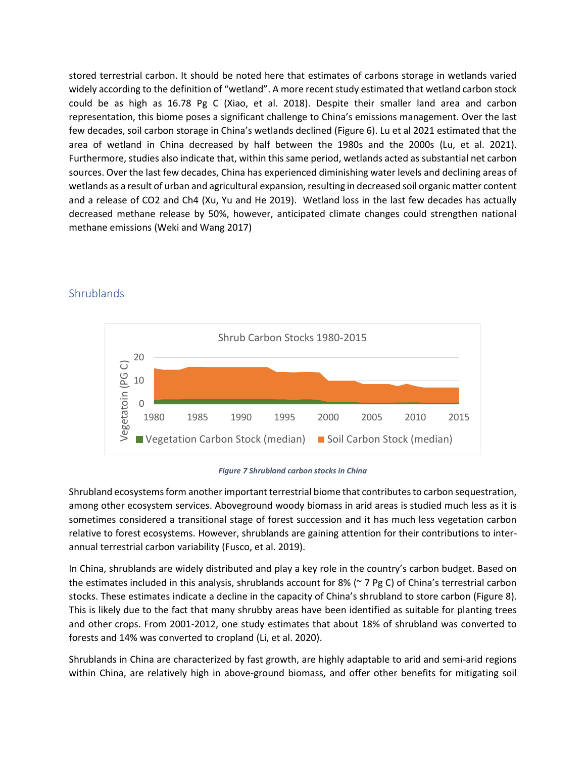stored terrestrial carbon. It should be noted here that estimates of carbons storage in wetlands varied widely according to the definition of "wetland". A more recent study estimated that wetland carbon stock could be as high as 16.78 Pg C (Xiao, et al. 2018). Despite their smaller land area and carbon representation, this biome poses a significant challenge to China's emissions management. Over the last few decades, soil carbon storage in China's wetlands declined (Figure 6). Lu et al 2021 estimated that the area of wetland in China decreased by half between the 1980s and the 2000s (Lu, et al. 2021). Furthermore, studies also indicate that, within this same period, wetlands acted as substantial net carbon sources. Over the last few decades, China has experienced diminishing water levels and declining areas of wetlands as a result of urban and agricultural expansion, resulting in decreased soil organic matter content and a release of CO2 and Ch4 (Xu, Yu and He 2019). Wetland loss in the last few decades has actually decreased methane release by 50%, however, anticipated climate changes could strengthen national methane emissions (Weki and Wang 2017)



## <span id="page-12-0"></span>**Shrublands**

#### *Figure 7 Shrubland carbon stocks in China*

<span id="page-12-1"></span>Shrubland ecosystems form another important terrestrial biome that contributes to carbon sequestration, among other ecosystem services. Aboveground woody biomass in arid areas is studied much less as it is sometimes considered a transitional stage of forest succession and it has much less vegetation carbon relative to forest ecosystems. However, shrublands are gaining attention for their contributions to interannual terrestrial carbon variability (Fusco, et al. 2019).

In China, shrublands are widely distributed and play a key role in the country's carbon budget. Based on the estimates included in this analysis, shrublands account for 8% ( $\sim$  7 Pg C) of China's terrestrial carbon stocks. These estimates indicate a decline in the capacity of China's shrubland to store carbon (Figure 8). This is likely due to the fact that many shrubby areas have been identified as suitable for planting trees and other crops. From 2001-2012, one study estimates that about 18% of shrubland was converted to forests and 14% was converted to cropland (Li, et al. 2020).

Shrublands in China are characterized by fast growth, are highly adaptable to arid and semi-arid regions within China, are relatively high in above-ground biomass, and offer other benefits for mitigating soil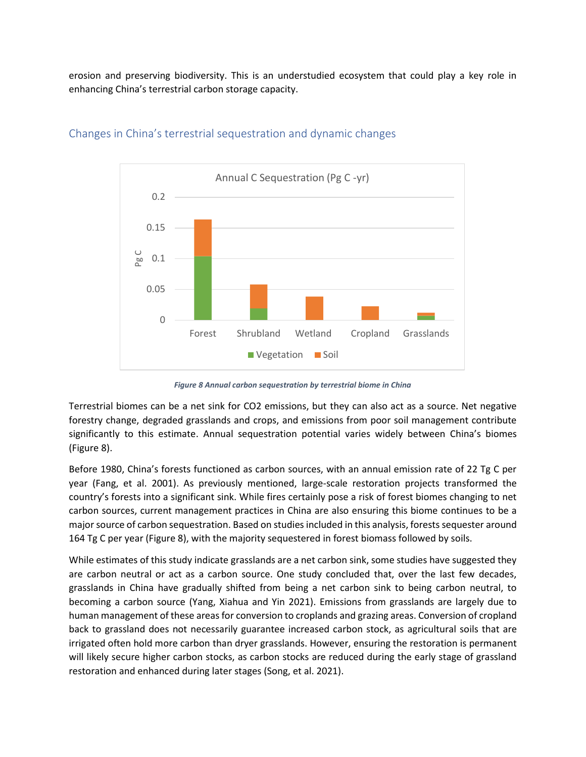erosion and preserving biodiversity. This is an understudied ecosystem that could play a key role in enhancing China's terrestrial carbon storage capacity.



## <span id="page-13-0"></span>Changes in China's terrestrial sequestration and dynamic changes

*Figure 8 Annual carbon sequestration by terrestrial biome in China*

<span id="page-13-1"></span>Terrestrial biomes can be a net sink for CO2 emissions, but they can also act as a source. Net negative forestry change, degraded grasslands and crops, and emissions from poor soil management contribute significantly to this estimate. Annual sequestration potential varies widely between China's biomes (Figure 8).

Before 1980, China's forests functioned as carbon sources, with an annual emission rate of 22 Tg C per year (Fang, et al. 2001). As previously mentioned, large-scale restoration projects transformed the country's forests into a significant sink. While fires certainly pose a risk of forest biomes changing to net carbon sources, current management practices in China are also ensuring this biome continues to be a major source of carbon sequestration. Based on studies included in this analysis, forests sequester around 164 Tg C per year (Figure 8), with the majority sequestered in forest biomass followed by soils.

While estimates of this study indicate grasslands are a net carbon sink, some studies have suggested they are carbon neutral or act as a carbon source. One study concluded that, over the last few decades, grasslands in China have gradually shifted from being a net carbon sink to being carbon neutral, to becoming a carbon source (Yang, Xiahua and Yin 2021). Emissions from grasslands are largely due to human management of these areas for conversion to croplands and grazing areas. Conversion of cropland back to grassland does not necessarily guarantee increased carbon stock, as agricultural soils that are irrigated often hold more carbon than dryer grasslands. However, ensuring the restoration is permanent will likely secure higher carbon stocks, as carbon stocks are reduced during the early stage of grassland restoration and enhanced during later stages (Song, et al. 2021).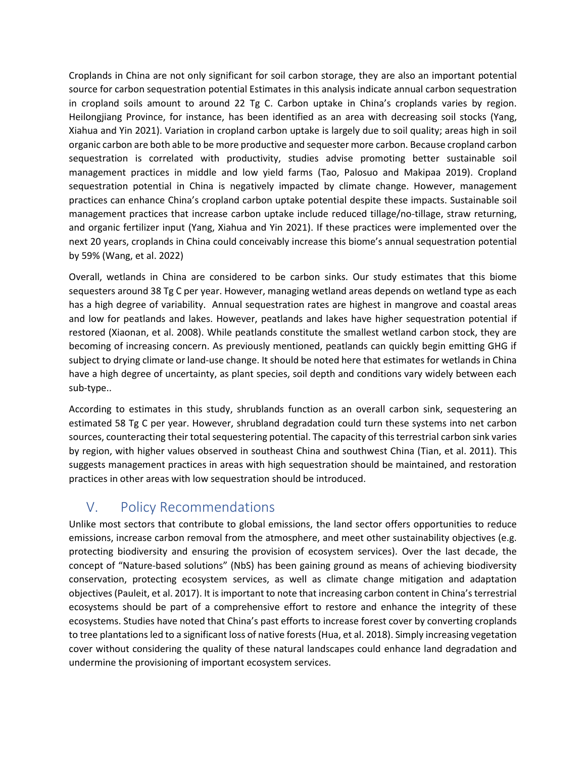Croplands in China are not only significant for soil carbon storage, they are also an important potential source for carbon sequestration potential Estimates in this analysis indicate annual carbon sequestration in cropland soils amount to around 22 Tg C. Carbon uptake in China's croplands varies by region. Heilongjiang Province, for instance, has been identified as an area with decreasing soil stocks (Yang, Xiahua and Yin 2021). Variation in cropland carbon uptake is largely due to soil quality; areas high in soil organic carbon are both able to be more productive and sequester more carbon. Because cropland carbon sequestration is correlated with productivity, studies advise promoting better sustainable soil management practices in middle and low yield farms (Tao, Palosuo and Makipaa 2019). Cropland sequestration potential in China is negatively impacted by climate change. However, management practices can enhance China's cropland carbon uptake potential despite these impacts. Sustainable soil management practices that increase carbon uptake include reduced tillage/no-tillage, straw returning, and organic fertilizer input (Yang, Xiahua and Yin 2021). If these practices were implemented over the next 20 years, croplands in China could conceivably increase this biome's annual sequestration potential by 59% (Wang, et al. 2022)

Overall, wetlands in China are considered to be carbon sinks. Our study estimates that this biome sequesters around 38 Tg C per year. However, managing wetland areas depends on wetland type as each has a high degree of variability. Annual sequestration rates are highest in mangrove and coastal areas and low for peatlands and lakes. However, peatlands and lakes have higher sequestration potential if restored (Xiaonan, et al. 2008). While peatlands constitute the smallest wetland carbon stock, they are becoming of increasing concern. As previously mentioned, peatlands can quickly begin emitting GHG if subject to drying climate or land-use change. It should be noted here that estimates for wetlands in China have a high degree of uncertainty, as plant species, soil depth and conditions vary widely between each sub-type..

According to estimates in this study, shrublands function as an overall carbon sink, sequestering an estimated 58 Tg C per year. However, shrubland degradation could turn these systems into net carbon sources, counteracting their total sequestering potential. The capacity of this terrestrial carbon sink varies by region, with higher values observed in southeast China and southwest China (Tian, et al. 2011). This suggests management practices in areas with high sequestration should be maintained, and restoration practices in other areas with low sequestration should be introduced.

# <span id="page-14-0"></span>V. Policy Recommendations

Unlike most sectors that contribute to global emissions, the land sector offers opportunities to reduce emissions, increase carbon removal from the atmosphere, and meet other sustainability objectives (e.g. protecting biodiversity and ensuring the provision of ecosystem services). Over the last decade, the concept of "Nature-based solutions" (NbS) has been gaining ground as means of achieving biodiversity conservation, protecting ecosystem services, as well as climate change mitigation and adaptation objectives (Pauleit, et al. 2017). It is important to note that increasing carbon content in China's terrestrial ecosystems should be part of a comprehensive effort to restore and enhance the integrity of these ecosystems. Studies have noted that China's past efforts to increase forest cover by converting croplands to tree plantations led to a significant loss of native forests (Hua, et al. 2018). Simply increasing vegetation cover without considering the quality of these natural landscapes could enhance land degradation and undermine the provisioning of important ecosystem services.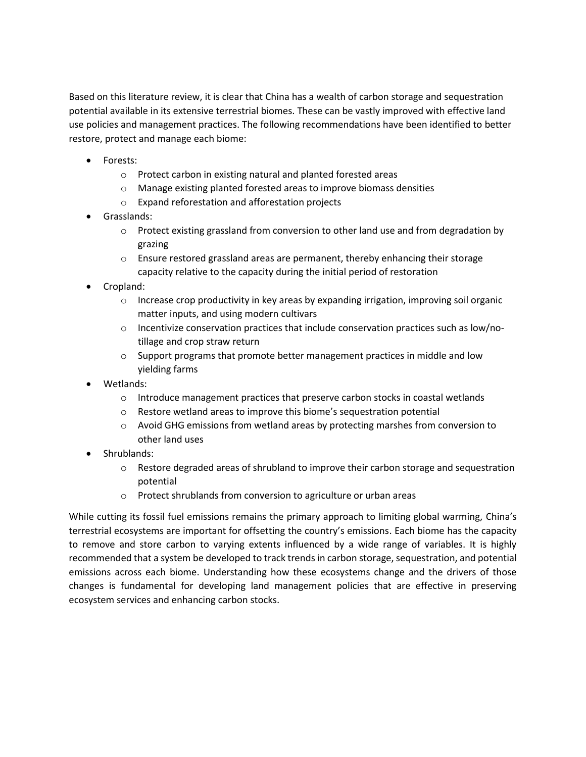Based on this literature review, it is clear that China has a wealth of carbon storage and sequestration potential available in its extensive terrestrial biomes. These can be vastly improved with effective land use policies and management practices. The following recommendations have been identified to better restore, protect and manage each biome:

- Forests:
	- o Protect carbon in existing natural and planted forested areas
	- o Manage existing planted forested areas to improve biomass densities
	- o Expand reforestation and afforestation projects
- Grasslands:
	- $\circ$  Protect existing grassland from conversion to other land use and from degradation by grazing
	- $\circ$  Ensure restored grassland areas are permanent, thereby enhancing their storage capacity relative to the capacity during the initial period of restoration
- Cropland:
	- $\circ$  Increase crop productivity in key areas by expanding irrigation, improving soil organic matter inputs, and using modern cultivars
	- $\circ$  Incentivize conservation practices that include conservation practices such as low/notillage and crop straw return
	- $\circ$  Support programs that promote better management practices in middle and low yielding farms
- Wetlands:
	- $\circ$  Introduce management practices that preserve carbon stocks in coastal wetlands
	- o Restore wetland areas to improve this biome's sequestration potential
	- o Avoid GHG emissions from wetland areas by protecting marshes from conversion to other land uses
- Shrublands:
	- $\circ$  Restore degraded areas of shrubland to improve their carbon storage and sequestration potential
	- o Protect shrublands from conversion to agriculture or urban areas

While cutting its fossil fuel emissions remains the primary approach to limiting global warming, China's terrestrial ecosystems are important for offsetting the country's emissions. Each biome has the capacity to remove and store carbon to varying extents influenced by a wide range of variables. It is highly recommended that a system be developed to track trends in carbon storage, sequestration, and potential emissions across each biome. Understanding how these ecosystems change and the drivers of those changes is fundamental for developing land management policies that are effective in preserving ecosystem services and enhancing carbon stocks.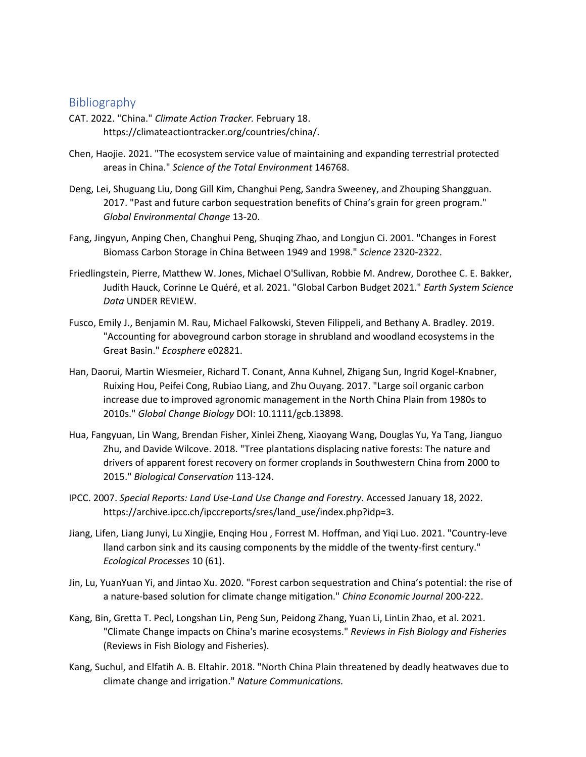#### <span id="page-16-0"></span>Bibliography

- CAT. 2022. "China." *Climate Action Tracker.* February 18. https://climateactiontracker.org/countries/china/.
- Chen, Haojie. 2021. "The ecosystem service value of maintaining and expanding terrestrial protected areas in China." *Science of the Total Environment* 146768.
- Deng, Lei, Shuguang Liu, Dong Gill Kim, Changhui Peng, Sandra Sweeney, and Zhouping Shangguan. 2017. "Past and future carbon sequestration benefits of China's grain for green program." *Global Environmental Change* 13-20.
- Fang, Jingyun, Anping Chen, Changhui Peng, Shuqing Zhao, and Longjun Ci. 2001. "Changes in Forest Biomass Carbon Storage in China Between 1949 and 1998." *Science* 2320-2322.
- Friedlingstein, Pierre, Matthew W. Jones, Michael O'Sullivan, Robbie M. Andrew, Dorothee C. E. Bakker, Judith Hauck, Corinne Le Quéré, et al. 2021. "Global Carbon Budget 2021." *Earth System Science Data* UNDER REVIEW.
- Fusco, Emily J., Benjamin M. Rau, Michael Falkowski, Steven Filippeli, and Bethany A. Bradley. 2019. "Accounting for aboveground carbon storage in shrubland and woodland ecosystems in the Great Basin." *Ecosphere* e02821.
- Han, Daorui, Martin Wiesmeier, Richard T. Conant, Anna Kuhnel, Zhigang Sun, Ingrid Kogel-Knabner, Ruixing Hou, Peifei Cong, Rubiao Liang, and Zhu Ouyang. 2017. "Large soil organic carbon increase due to improved agronomic management in the North China Plain from 1980s to 2010s." *Global Change Biology* DOI: 10.1111/gcb.13898.
- Hua, Fangyuan, Lin Wang, Brendan Fisher, Xinlei Zheng, Xiaoyang Wang, Douglas Yu, Ya Tang, Jianguo Zhu, and Davide Wilcove. 2018. "Tree plantations displacing native forests: The nature and drivers of apparent forest recovery on former croplands in Southwestern China from 2000 to 2015." *Biological Conservation* 113-124.
- IPCC. 2007. *Special Reports: Land Use-Land Use Change and Forestry.* Accessed January 18, 2022. https://archive.ipcc.ch/ipccreports/sres/land\_use/index.php?idp=3.
- Jiang, Lifen, Liang Junyi, Lu Xingjie, Enqing Hou , Forrest M. Hoffman, and Yiqi Luo. 2021. "Country-leve lland carbon sink and its causing components by the middle of the twenty-first century." *Ecological Processes* 10 (61).
- Jin, Lu, YuanYuan Yi, and Jintao Xu. 2020. "Forest carbon sequestration and China's potential: the rise of a nature-based solution for climate change mitigation." *China Economic Journal* 200-222.
- Kang, Bin, Gretta T. Pecl, Longshan Lin, Peng Sun, Peidong Zhang, Yuan Li, LinLin Zhao, et al. 2021. "Climate Change impacts on China's marine ecosystems." *Reviews in Fish Biology and Fisheries* (Reviews in Fish Biology and Fisheries).
- Kang, Suchul, and Elfatih A. B. Eltahir. 2018. "North China Plain threatened by deadly heatwaves due to climate change and irrigation." *Nature Communications.*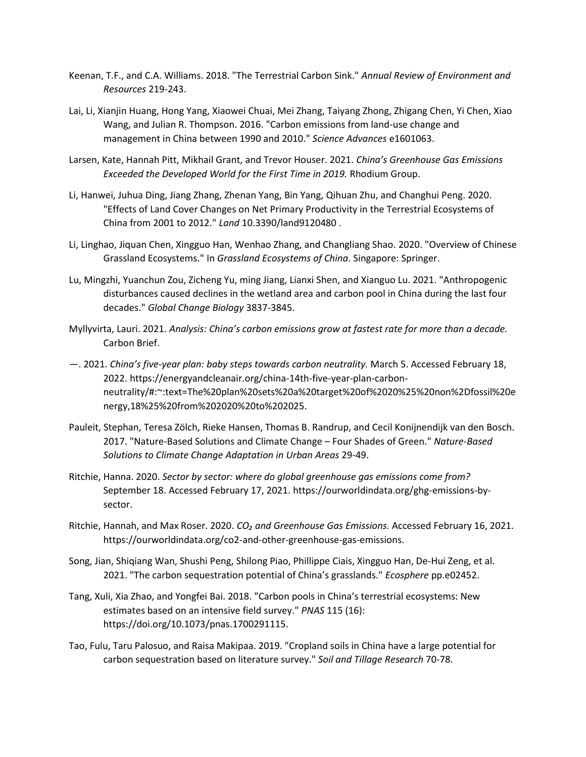- Keenan, T.F., and C.A. Williams. 2018. "The Terrestrial Carbon Sink." *Annual Review of Environment and Resources* 219-243.
- Lai, Li, Xianjin Huang, Hong Yang, Xiaowei Chuai, Mei Zhang, Taiyang Zhong, Zhigang Chen, Yi Chen, Xiao Wang, and Julian R. Thompson. 2016. "Carbon emissions from land-use change and management in China between 1990 and 2010." *Science Advances* e1601063.
- Larsen, Kate, Hannah Pitt, Mikhail Grant, and Trevor Houser. 2021. *China's Greenhouse Gas Emissions Exceeded the Developed World for the First Time in 2019.* Rhodium Group.
- Li, Hanwei, Juhua Ding, Jiang Zhang, Zhenan Yang, Bin Yang, Qihuan Zhu, and Changhui Peng. 2020. "Effects of Land Cover Changes on Net Primary Productivity in the Terrestrial Ecosystems of China from 2001 to 2012." *Land* 10.3390/land9120480 .
- Li, Linghao, Jiquan Chen, Xingguo Han, Wenhao Zhang, and Changliang Shao. 2020. "Overview of Chinese Grassland Ecosystems." In *Grassland Ecosystems of China*. Singapore: Springer.
- Lu, Mingzhi, Yuanchun Zou, Zicheng Yu, ming Jiang, Lianxi Shen, and Xianguo Lu. 2021. "Anthropogenic disturbances caused declines in the wetland area and carbon pool in China during the last four decades." *Global Change Biology* 3837-3845.
- Myllyvirta, Lauri. 2021. *Analysis: China's carbon emissions grow at fastest rate for more than a decade.* Carbon Brief.
- —. 2021. *China's five-year plan: baby steps towards carbon neutrality.* March 5. Accessed February 18, 2022. https://energyandcleanair.org/china-14th-five-year-plan-carbonneutrality/#:~:text=The%20plan%20sets%20a%20target%20of%2020%25%20non%2Dfossil%20e nergy,18%25%20from%202020%20to%202025.
- Pauleit, Stephan, Teresa Zölch, Rieke Hansen, Thomas B. Randrup, and Cecil Konijnendijk van den Bosch. 2017. "Nature-Based Solutions and Climate Change – Four Shades of Green." *Nature-Based Solutions to Climate Change Adaptation in Urban Areas* 29-49.
- Ritchie, Hanna. 2020. *Sector by sector: where do global greenhouse gas emissions come from?* September 18. Accessed February 17, 2021. https://ourworldindata.org/ghg-emissions-bysector.
- Ritchie, Hannah, and Max Roser. 2020. *CO₂ and Greenhouse Gas Emissions.* Accessed February 16, 2021. https://ourworldindata.org/co2-and-other-greenhouse-gas-emissions.
- Song, Jian, Shiqiang Wan, Shushi Peng, Shilong Piao, Phillippe Ciais, Xingguo Han, De-Hui Zeng, et al. 2021. "The carbon sequestration potential of China's grasslands." *Ecosphere* pp.e02452.
- Tang, Xuli, Xia Zhao, and Yongfei Bai. 2018. "Carbon pools in China's terrestrial ecosystems: New estimates based on an intensive field survey." *PNAS* 115 (16): https://doi.org/10.1073/pnas.1700291115.
- Tao, Fulu, Taru Palosuo, and Raisa Makipaa. 2019. "Cropland soils in China have a large potential for carbon sequestration based on literature survey." *Soil and Tillage Research* 70-78.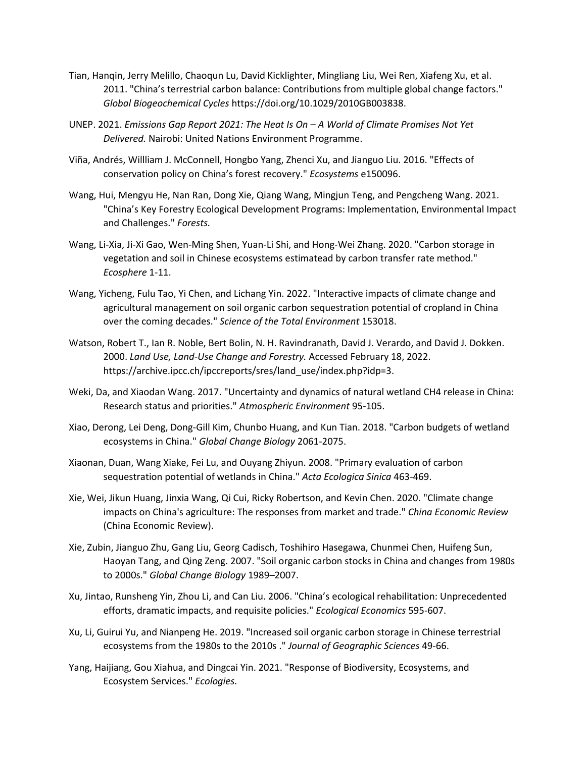- Tian, Hanqin, Jerry Melillo, Chaoqun Lu, David Kicklighter, Mingliang Liu, Wei Ren, Xiafeng Xu, et al. 2011. "China's terrestrial carbon balance: Contributions from multiple global change factors." *Global Biogeochemical Cycles* https://doi.org/10.1029/2010GB003838.
- UNEP. 2021. *Emissions Gap Report 2021: The Heat Is On – A World of Climate Promises Not Yet Delivered.* Nairobi: United Nations Environment Programme.
- Viña, Andrés, Willliam J. McConnell, Hongbo Yang, Zhenci Xu, and Jianguo Liu. 2016. "Effects of conservation policy on China's forest recovery." *Ecosystems* e150096.
- Wang, Hui, Mengyu He, Nan Ran, Dong Xie, Qiang Wang, Mingjun Teng, and Pengcheng Wang. 2021. "China's Key Forestry Ecological Development Programs: Implementation, Environmental Impact and Challenges." *Forests.*
- Wang, Li-Xia, Ji-Xi Gao, Wen-Ming Shen, Yuan-Li Shi, and Hong-Wei Zhang. 2020. "Carbon storage in vegetation and soil in Chinese ecosystems estimatead by carbon transfer rate method." *Ecosphere* 1-11.
- Wang, Yicheng, Fulu Tao, Yi Chen, and Lichang Yin. 2022. "Interactive impacts of climate change and agricultural management on soil organic carbon sequestration potential of cropland in China over the coming decades." *Science of the Total Environment* 153018.
- Watson, Robert T., Ian R. Noble, Bert Bolin, N. H. Ravindranath, David J. Verardo, and David J. Dokken. 2000. *Land Use, Land-Use Change and Forestry.* Accessed February 18, 2022. https://archive.ipcc.ch/ipccreports/sres/land\_use/index.php?idp=3.
- Weki, Da, and Xiaodan Wang. 2017. "Uncertainty and dynamics of natural wetland CH4 release in China: Research status and priorities." *Atmospheric Environment* 95-105.
- Xiao, Derong, Lei Deng, Dong-Gill Kim, Chunbo Huang, and Kun Tian. 2018. "Carbon budgets of wetland ecosystems in China." *Global Change Biology* 2061-2075.
- Xiaonan, Duan, Wang Xiake, Fei Lu, and Ouyang Zhiyun. 2008. "Primary evaluation of carbon sequestration potential of wetlands in China." *Acta Ecologica Sinica* 463-469.
- Xie, Wei, Jikun Huang, Jinxia Wang, Qi Cui, Ricky Robertson, and Kevin Chen. 2020. "Climate change impacts on China's agriculture: The responses from market and trade." *China Economic Review* (China Economic Review).
- Xie, Zubin, Jianguo Zhu, Gang Liu, Georg Cadisch, Toshihiro Hasegawa, Chunmei Chen, Huifeng Sun, Haoyan Tang, and Qing Zeng. 2007. "Soil organic carbon stocks in China and changes from 1980s to 2000s." *Global Change Biology* 1989–2007.
- Xu, Jintao, Runsheng Yin, Zhou Li, and Can Liu. 2006. "China's ecological rehabilitation: Unprecedented efforts, dramatic impacts, and requisite policies." *Ecological Economics* 595-607.
- Xu, Li, Guirui Yu, and Nianpeng He. 2019. "Increased soil organic carbon storage in Chinese terrestrial ecosystems from the 1980s to the 2010s ." *Journal of Geographic Sciences* 49-66.
- Yang, Haijiang, Gou Xiahua, and Dingcai Yin. 2021. "Response of Biodiversity, Ecosystems, and Ecosystem Services." *Ecologies.*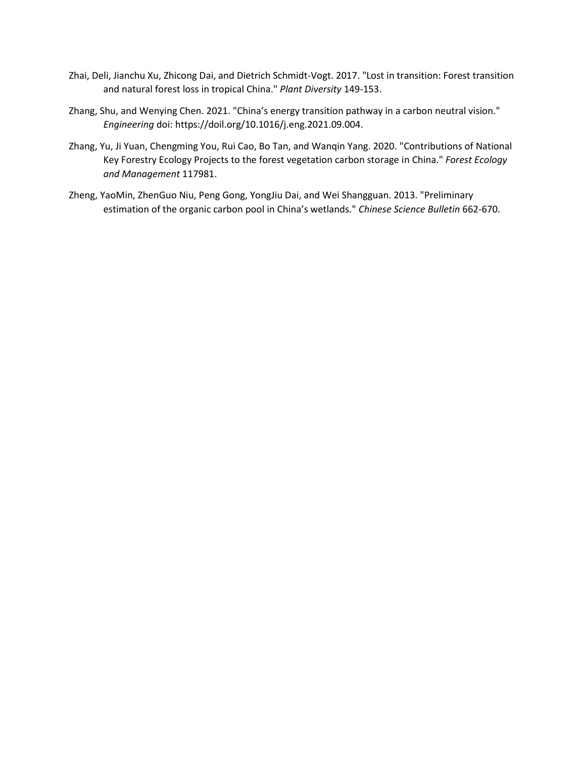- Zhai, Deli, Jianchu Xu, Zhicong Dai, and Dietrich Schmidt-Vogt. 2017. "Lost in transition: Forest transition and natural forest loss in tropical China." *Plant Diversity* 149-153.
- Zhang, Shu, and Wenying Chen. 2021. "China's energy transition pathway in a carbon neutral vision." *Engineering* doi: https://doil.org/10.1016/j.eng.2021.09.004.
- Zhang, Yu, Ji Yuan, Chengming You, Rui Cao, Bo Tan, and Wanqin Yang. 2020. "Contributions of National Key Forestry Ecology Projects to the forest vegetation carbon storage in China." *Forest Ecology and Management* 117981.
- Zheng, YaoMin, ZhenGuo Niu, Peng Gong, YongJiu Dai, and Wei Shangguan. 2013. "Preliminary estimation of the organic carbon pool in China's wetlands." *Chinese Science Bulletin* 662-670.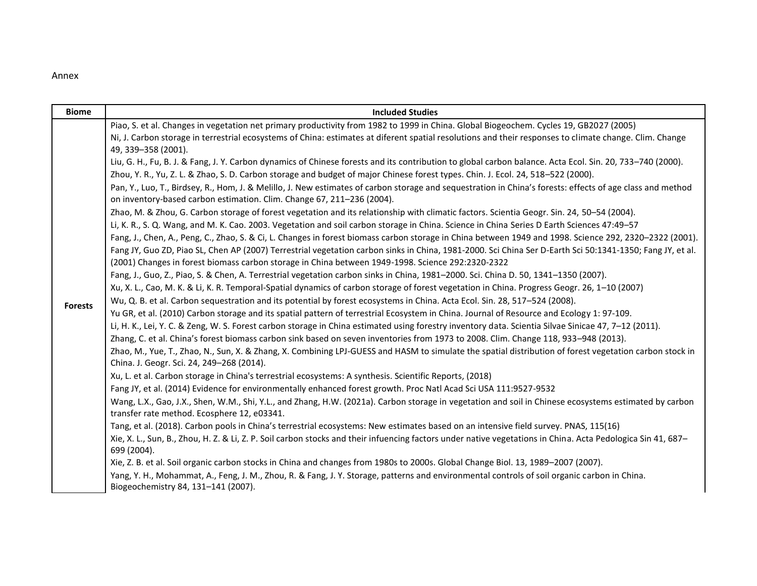Annex

| <b>Biome</b>   | <b>Included Studies</b>                                                                                                                                                                                                                                        |
|----------------|----------------------------------------------------------------------------------------------------------------------------------------------------------------------------------------------------------------------------------------------------------------|
|                | Piao, S. et al. Changes in vegetation net primary productivity from 1982 to 1999 in China. Global Biogeochem. Cycles 19, GB2027 (2005)                                                                                                                         |
|                | Ni, J. Carbon storage in terrestrial ecosystems of China: estimates at diferent spatial resolutions and their responses to climate change. Clim. Change<br>49, 339-358 (2001).                                                                                 |
|                | Liu, G. H., Fu, B. J. & Fang, J. Y. Carbon dynamics of Chinese forests and its contribution to global carbon balance. Acta Ecol. Sin. 20, 733-740 (2000).                                                                                                      |
|                | Zhou, Y. R., Yu, Z. L. & Zhao, S. D. Carbon storage and budget of major Chinese forest types. Chin. J. Ecol. 24, 518-522 (2000).                                                                                                                               |
|                | Pan, Y., Luo, T., Birdsey, R., Hom, J. & Melillo, J. New estimates of carbon storage and sequestration in China's forests: effects of age class and method<br>on inventory-based carbon estimation. Clim. Change 67, 211-236 (2004).                           |
|                | Zhao, M. & Zhou, G. Carbon storage of forest vegetation and its relationship with climatic factors. Scientia Geogr. Sin. 24, 50-54 (2004).                                                                                                                     |
|                | Li, K. R., S. Q. Wang, and M. K. Cao. 2003. Vegetation and soil carbon storage in China. Science in China Series D Earth Sciences 47:49-57                                                                                                                     |
|                | Fang, J., Chen, A., Peng, C., Zhao, S. & Ci, L. Changes in forest biomass carbon storage in China between 1949 and 1998. Science 292, 2320–2322 (2001).                                                                                                        |
|                | Fang JY, Guo ZD, Piao SL, Chen AP (2007) Terrestrial vegetation carbon sinks in China, 1981-2000. Sci China Ser D-Earth Sci 50:1341-1350; Fang JY, et al.<br>(2001) Changes in forest biomass carbon storage in China between 1949-1998. Science 292:2320-2322 |
|                | Fang, J., Guo, Z., Piao, S. & Chen, A. Terrestrial vegetation carbon sinks in China, 1981-2000. Sci. China D. 50, 1341-1350 (2007).                                                                                                                            |
|                | Xu, X. L., Cao, M. K. & Li, K. R. Temporal-Spatial dynamics of carbon storage of forest vegetation in China. Progress Geogr. 26, 1-10 (2007)                                                                                                                   |
| <b>Forests</b> | Wu, Q. B. et al. Carbon sequestration and its potential by forest ecosystems in China. Acta Ecol. Sin. 28, 517-524 (2008).                                                                                                                                     |
|                | Yu GR, et al. (2010) Carbon storage and its spatial pattern of terrestrial Ecosystem in China. Journal of Resource and Ecology 1: 97-109.                                                                                                                      |
|                | Li, H. K., Lei, Y. C. & Zeng, W. S. Forest carbon storage in China estimated using forestry inventory data. Scientia Silvae Sinicae 47, 7-12 (2011).                                                                                                           |
|                | Zhang, C. et al. China's forest biomass carbon sink based on seven inventories from 1973 to 2008. Clim. Change 118, 933-948 (2013).                                                                                                                            |
|                | Zhao, M., Yue, T., Zhao, N., Sun, X. & Zhang, X. Combining LPJ-GUESS and HASM to simulate the spatial distribution of forest vegetation carbon stock in<br>China. J. Geogr. Sci. 24, 249-268 (2014).                                                           |
|                | Xu, L. et al. Carbon storage in China's terrestrial ecosystems: A synthesis. Scientific Reports, (2018)                                                                                                                                                        |
|                | Fang JY, et al. (2014) Evidence for environmentally enhanced forest growth. Proc Natl Acad Sci USA 111:9527-9532                                                                                                                                               |
|                | Wang, L.X., Gao, J.X., Shen, W.M., Shi, Y.L., and Zhang, H.W. (2021a). Carbon storage in vegetation and soil in Chinese ecosystems estimated by carbon                                                                                                         |
|                | transfer rate method. Ecosphere 12, e03341.                                                                                                                                                                                                                    |
|                | Tang, et al. (2018). Carbon pools in China's terrestrial ecosystems: New estimates based on an intensive field survey. PNAS, 115(16)                                                                                                                           |
|                | Xie, X. L., Sun, B., Zhou, H. Z. & Li, Z. P. Soil carbon stocks and their infuencing factors under native vegetations in China. Acta Pedologica Sin 41, 687-<br>699 (2004).                                                                                    |
|                | Xie, Z. B. et al. Soil organic carbon stocks in China and changes from 1980s to 2000s. Global Change Biol. 13, 1989-2007 (2007).                                                                                                                               |
|                | Yang, Y. H., Mohammat, A., Feng, J. M., Zhou, R. & Fang, J. Y. Storage, patterns and environmental controls of soil organic carbon in China.                                                                                                                   |
|                | Biogeochemistry 84, 131-141 (2007).                                                                                                                                                                                                                            |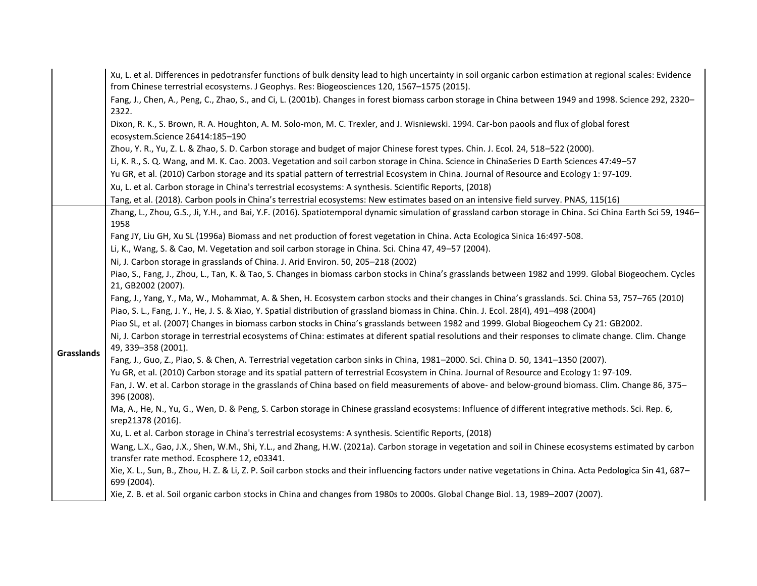|            | Xu, L. et al. Differences in pedotransfer functions of bulk density lead to high uncertainty in soil organic carbon estimation at regional scales: Evidence<br>from Chinese terrestrial ecosystems. J Geophys. Res: Biogeosciences 120, 1567-1575 (2015). |
|------------|-----------------------------------------------------------------------------------------------------------------------------------------------------------------------------------------------------------------------------------------------------------|
|            | Fang, J., Chen, A., Peng, C., Zhao, S., and Ci, L. (2001b). Changes in forest biomass carbon storage in China between 1949 and 1998. Science 292, 2320-<br>2322.                                                                                          |
|            | Dixon, R. K., S. Brown, R. A. Houghton, A. M. Solo-mon, M. C. Trexler, and J. Wisniewski. 1994. Car-bon paools and flux of global forest<br>ecosystem.Science 26414:185-190                                                                               |
|            | Zhou, Y. R., Yu, Z. L. & Zhao, S. D. Carbon storage and budget of major Chinese forest types. Chin. J. Ecol. 24, 518-522 (2000).                                                                                                                          |
|            | Li, K. R., S. Q. Wang, and M. K. Cao. 2003. Vegetation and soil carbon storage in China. Science in ChinaSeries D Earth Sciences 47:49-57                                                                                                                 |
|            | Yu GR, et al. (2010) Carbon storage and its spatial pattern of terrestrial Ecosystem in China. Journal of Resource and Ecology 1: 97-109.                                                                                                                 |
|            | Xu, L. et al. Carbon storage in China's terrestrial ecosystems: A synthesis. Scientific Reports, (2018)                                                                                                                                                   |
|            | Tang, et al. (2018). Carbon pools in China's terrestrial ecosystems: New estimates based on an intensive field survey. PNAS, 115(16)                                                                                                                      |
|            | Zhang, L., Zhou, G.S., Ji, Y.H., and Bai, Y.F. (2016). Spatiotemporal dynamic simulation of grassland carbon storage in China. Sci China Earth Sci 59, 1946-<br>1958                                                                                      |
|            | Fang JY, Liu GH, Xu SL (1996a) Biomass and net production of forest vegetation in China. Acta Ecologica Sinica 16:497-508.                                                                                                                                |
|            | Li, K., Wang, S. & Cao, M. Vegetation and soil carbon storage in China. Sci. China 47, 49-57 (2004).                                                                                                                                                      |
|            | Ni, J. Carbon storage in grasslands of China. J. Arid Environ. 50, 205-218 (2002)                                                                                                                                                                         |
|            | Piao, S., Fang, J., Zhou, L., Tan, K. & Tao, S. Changes in biomass carbon stocks in China's grasslands between 1982 and 1999. Global Biogeochem. Cycles<br>21, GB2002 (2007).                                                                             |
|            | Fang, J., Yang, Y., Ma, W., Mohammat, A. & Shen, H. Ecosystem carbon stocks and their changes in China's grasslands. Sci. China 53, 757-765 (2010)                                                                                                        |
|            | Piao, S. L., Fang, J. Y., He, J. S. & Xiao, Y. Spatial distribution of grassland biomass in China. Chin. J. Ecol. 28(4), 491-498 (2004)                                                                                                                   |
|            | Piao SL, et al. (2007) Changes in biomass carbon stocks in China's grasslands between 1982 and 1999. Global Biogeochem Cy 21: GB2002.                                                                                                                     |
| Grasslands | Ni, J. Carbon storage in terrestrial ecosystems of China: estimates at diferent spatial resolutions and their responses to climate change. Clim. Change<br>49, 339-358 (2001).                                                                            |
|            | Fang, J., Guo, Z., Piao, S. & Chen, A. Terrestrial vegetation carbon sinks in China, 1981-2000. Sci. China D. 50, 1341-1350 (2007).                                                                                                                       |
|            | Yu GR, et al. (2010) Carbon storage and its spatial pattern of terrestrial Ecosystem in China. Journal of Resource and Ecology 1: 97-109.                                                                                                                 |
|            | Fan, J. W. et al. Carbon storage in the grasslands of China based on field measurements of above- and below-ground biomass. Clim. Change 86, 375-<br>396 (2008).                                                                                          |
|            | Ma, A., He, N., Yu, G., Wen, D. & Peng, S. Carbon storage in Chinese grassland ecosystems: Influence of different integrative methods. Sci. Rep. 6,<br>srep21378 (2016).                                                                                  |
|            | Xu, L. et al. Carbon storage in China's terrestrial ecosystems: A synthesis. Scientific Reports, (2018)                                                                                                                                                   |
|            | Wang, L.X., Gao, J.X., Shen, W.M., Shi, Y.L., and Zhang, H.W. (2021a). Carbon storage in vegetation and soil in Chinese ecosystems estimated by carbon<br>transfer rate method. Ecosphere 12, e03341.                                                     |
|            | Xie, X. L., Sun, B., Zhou, H. Z. & Li, Z. P. Soil carbon stocks and their influencing factors under native vegetations in China. Acta Pedologica Sin 41, 687-<br>699 (2004).                                                                              |
|            | Xie, Z. B. et al. Soil organic carbon stocks in China and changes from 1980s to 2000s. Global Change Biol. 13, 1989-2007 (2007).                                                                                                                          |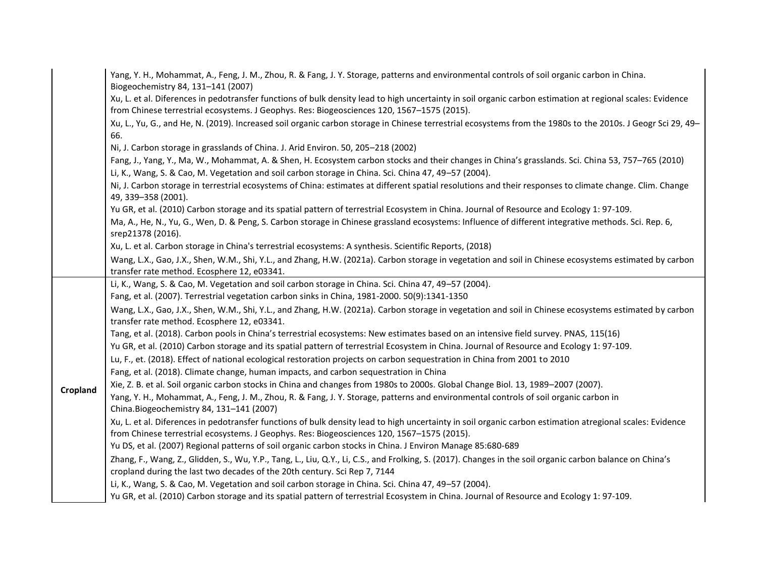|          | Yang, Y. H., Mohammat, A., Feng, J. M., Zhou, R. & Fang, J. Y. Storage, patterns and environmental controls of soil organic carbon in China.<br>Biogeochemistry 84, 131-141 (2007)                                                                         |
|----------|------------------------------------------------------------------------------------------------------------------------------------------------------------------------------------------------------------------------------------------------------------|
|          | Xu, L. et al. Diferences in pedotransfer functions of bulk density lead to high uncertainty in soil organic carbon estimation at regional scales: Evidence<br>from Chinese terrestrial ecosystems. J Geophys. Res: Biogeosciences 120, 1567-1575 (2015).   |
|          | Xu, L., Yu, G., and He, N. (2019). Increased soil organic carbon storage in Chinese terrestrial ecosystems from the 1980s to the 2010s. J Geogr Sci 29, 49-<br>66.                                                                                         |
|          | Ni, J. Carbon storage in grasslands of China. J. Arid Environ. 50, 205-218 (2002)                                                                                                                                                                          |
|          | Fang, J., Yang, Y., Ma, W., Mohammat, A. & Shen, H. Ecosystem carbon stocks and their changes in China's grasslands. Sci. China 53, 757-765 (2010)<br>Li, K., Wang, S. & Cao, M. Vegetation and soil carbon storage in China. Sci. China 47, 49-57 (2004). |
|          | Ni, J. Carbon storage in terrestrial ecosystems of China: estimates at different spatial resolutions and their responses to climate change. Clim. Change<br>49, 339-358 (2001).                                                                            |
|          | Yu GR, et al. (2010) Carbon storage and its spatial pattern of terrestrial Ecosystem in China. Journal of Resource and Ecology 1: 97-109.                                                                                                                  |
|          | Ma, A., He, N., Yu, G., Wen, D. & Peng, S. Carbon storage in Chinese grassland ecosystems: Influence of different integrative methods. Sci. Rep. 6,<br>srep21378 (2016).                                                                                   |
|          | Xu, L. et al. Carbon storage in China's terrestrial ecosystems: A synthesis. Scientific Reports, (2018)                                                                                                                                                    |
|          | Wang, L.X., Gao, J.X., Shen, W.M., Shi, Y.L., and Zhang, H.W. (2021a). Carbon storage in vegetation and soil in Chinese ecosystems estimated by carbon<br>transfer rate method. Ecosphere 12, e03341.                                                      |
|          | Li, K., Wang, S. & Cao, M. Vegetation and soil carbon storage in China. Sci. China 47, 49-57 (2004).                                                                                                                                                       |
|          | Fang, et al. (2007). Terrestrial vegetation carbon sinks in China, 1981-2000. 50(9):1341-1350                                                                                                                                                              |
|          | Wang, L.X., Gao, J.X., Shen, W.M., Shi, Y.L., and Zhang, H.W. (2021a). Carbon storage in vegetation and soil in Chinese ecosystems estimated by carbon<br>transfer rate method. Ecosphere 12, e03341.                                                      |
|          | Tang, et al. (2018). Carbon pools in China's terrestrial ecosystems: New estimates based on an intensive field survey. PNAS, 115(16)                                                                                                                       |
|          | Yu GR, et al. (2010) Carbon storage and its spatial pattern of terrestrial Ecosystem in China. Journal of Resource and Ecology 1: 97-109.                                                                                                                  |
|          | Lu, F., et. (2018). Effect of national ecological restoration projects on carbon sequestration in China from 2001 to 2010                                                                                                                                  |
|          | Fang, et al. (2018). Climate change, human impacts, and carbon sequestration in China                                                                                                                                                                      |
| Cropland | Xie, Z. B. et al. Soil organic carbon stocks in China and changes from 1980s to 2000s. Global Change Biol. 13, 1989-2007 (2007).                                                                                                                           |
|          | Yang, Y. H., Mohammat, A., Feng, J. M., Zhou, R. & Fang, J. Y. Storage, patterns and environmental controls of soil organic carbon in<br>China.Biogeochemistry 84, 131-141 (2007)                                                                          |
|          | Xu, L. et al. Diferences in pedotransfer functions of bulk density lead to high uncertainty in soil organic carbon estimation atregional scales: Evidence<br>from Chinese terrestrial ecosystems. J Geophys. Res: Biogeosciences 120, 1567-1575 (2015).    |
|          | Yu DS, et al. (2007) Regional patterns of soil organic carbon stocks in China. J Environ Manage 85:680-689                                                                                                                                                 |
|          | Zhang, F., Wang, Z., Glidden, S., Wu, Y.P., Tang, L., Liu, Q.Y., Li, C.S., and Frolking, S. (2017). Changes in the soil organic carbon balance on China's<br>cropland during the last two decades of the 20th century. Sci Rep 7, 7144                     |
|          | Li, K., Wang, S. & Cao, M. Vegetation and soil carbon storage in China. Sci. China 47, 49-57 (2004).                                                                                                                                                       |
|          | Yu GR, et al. (2010) Carbon storage and its spatial pattern of terrestrial Ecosystem in China. Journal of Resource and Ecology 1: 97-109.                                                                                                                  |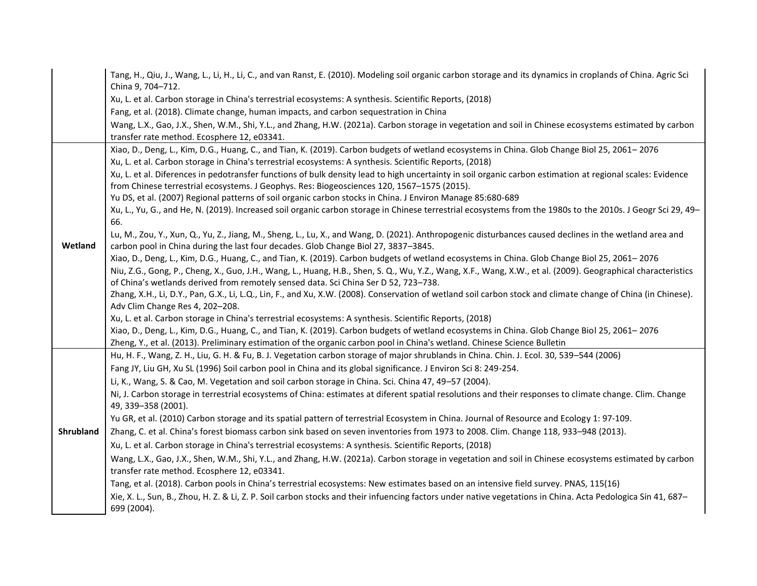|           | Tang, H., Qiu, J., Wang, L., Li, H., Li, C., and van Ranst, E. (2010). Modeling soil organic carbon storage and its dynamics in croplands of China. Agric Sci<br>China 9, 704-712.                                                                       |
|-----------|----------------------------------------------------------------------------------------------------------------------------------------------------------------------------------------------------------------------------------------------------------|
|           | Xu, L. et al. Carbon storage in China's terrestrial ecosystems: A synthesis. Scientific Reports, (2018)                                                                                                                                                  |
|           | Fang, et al. (2018). Climate change, human impacts, and carbon sequestration in China                                                                                                                                                                    |
|           | Wang, L.X., Gao, J.X., Shen, W.M., Shi, Y.L., and Zhang, H.W. (2021a). Carbon storage in vegetation and soil in Chinese ecosystems estimated by carbon<br>transfer rate method. Ecosphere 12, e03341.                                                    |
|           | Xiao, D., Deng, L., Kim, D.G., Huang, C., and Tian, K. (2019). Carbon budgets of wetland ecosystems in China. Glob Change Biol 25, 2061-2076                                                                                                             |
|           | Xu, L. et al. Carbon storage in China's terrestrial ecosystems: A synthesis. Scientific Reports, (2018)                                                                                                                                                  |
|           | Xu, L. et al. Diferences in pedotransfer functions of bulk density lead to high uncertainty in soil organic carbon estimation at regional scales: Evidence<br>from Chinese terrestrial ecosystems. J Geophys. Res: Biogeosciences 120, 1567-1575 (2015). |
|           | Yu DS, et al. (2007) Regional patterns of soil organic carbon stocks in China. J Environ Manage 85:680-689                                                                                                                                               |
|           | Xu, L., Yu, G., and He, N. (2019). Increased soil organic carbon storage in Chinese terrestrial ecosystems from the 1980s to the 2010s. J Geogr Sci 29, 49-<br>66.                                                                                       |
| Wetland   | Lu, M., Zou, Y., Xun, Q., Yu, Z., Jiang, M., Sheng, L., Lu, X., and Wang, D. (2021). Anthropogenic disturbances caused declines in the wetland area and<br>carbon pool in China during the last four decades. Glob Change Biol 27, 3837-3845.            |
|           | Xiao, D., Deng, L., Kim, D.G., Huang, C., and Tian, K. (2019). Carbon budgets of wetland ecosystems in China. Glob Change Biol 25, 2061-2076                                                                                                             |
|           | Niu, Z.G., Gong, P., Cheng, X., Guo, J.H., Wang, L., Huang, H.B., Shen, S. Q., Wu, Y.Z., Wang, X.F., Wang, X.W., et al. (2009). Geographical characteristics                                                                                             |
|           | of China's wetlands derived from remotely sensed data. Sci China Ser D 52, 723-738.                                                                                                                                                                      |
|           | Zhang, X.H., Li, D.Y., Pan, G.X., Li, L.Q., Lin, F., and Xu, X.W. (2008). Conservation of wetland soil carbon stock and climate change of China (in Chinese).<br>Adv Clim Change Res 4, 202-208.                                                         |
|           | Xu, L. et al. Carbon storage in China's terrestrial ecosystems: A synthesis. Scientific Reports, (2018)                                                                                                                                                  |
|           | Xiao, D., Deng, L., Kim, D.G., Huang, C., and Tian, K. (2019). Carbon budgets of wetland ecosystems in China. Glob Change Biol 25, 2061-2076                                                                                                             |
|           | Zheng, Y., et al. (2013). Preliminary estimation of the organic carbon pool in China's wetland. Chinese Science Bulletin                                                                                                                                 |
|           | Hu, H. F., Wang, Z. H., Liu, G. H. & Fu, B. J. Vegetation carbon storage of major shrublands in China. Chin. J. Ecol. 30, 539-544 (2006)                                                                                                                 |
|           | Fang JY, Liu GH, Xu SL (1996) Soil carbon pool in China and its global significance. J Environ Sci 8: 249-254.                                                                                                                                           |
|           | Li, K., Wang, S. & Cao, M. Vegetation and soil carbon storage in China. Sci. China 47, 49-57 (2004).                                                                                                                                                     |
|           | Ni, J. Carbon storage in terrestrial ecosystems of China: estimates at diferent spatial resolutions and their responses to climate change. Clim. Change<br>49, 339-358 (2001).                                                                           |
|           | Yu GR, et al. (2010) Carbon storage and its spatial pattern of terrestrial Ecosystem in China. Journal of Resource and Ecology 1: 97-109.                                                                                                                |
| Shrubland | Zhang, C. et al. China's forest biomass carbon sink based on seven inventories from 1973 to 2008. Clim. Change 118, 933-948 (2013).                                                                                                                      |
|           | Xu, L. et al. Carbon storage in China's terrestrial ecosystems: A synthesis. Scientific Reports, (2018)                                                                                                                                                  |
|           | Wang, L.X., Gao, J.X., Shen, W.M., Shi, Y.L., and Zhang, H.W. (2021a). Carbon storage in vegetation and soil in Chinese ecosystems estimated by carbon<br>transfer rate method. Ecosphere 12, e03341.                                                    |
|           | Tang, et al. (2018). Carbon pools in China's terrestrial ecosystems: New estimates based on an intensive field survey. PNAS, 115(16)                                                                                                                     |
|           | Xie, X. L., Sun, B., Zhou, H. Z. & Li, Z. P. Soil carbon stocks and their infuencing factors under native vegetations in China. Acta Pedologica Sin 41, 687-<br>699 (2004).                                                                              |